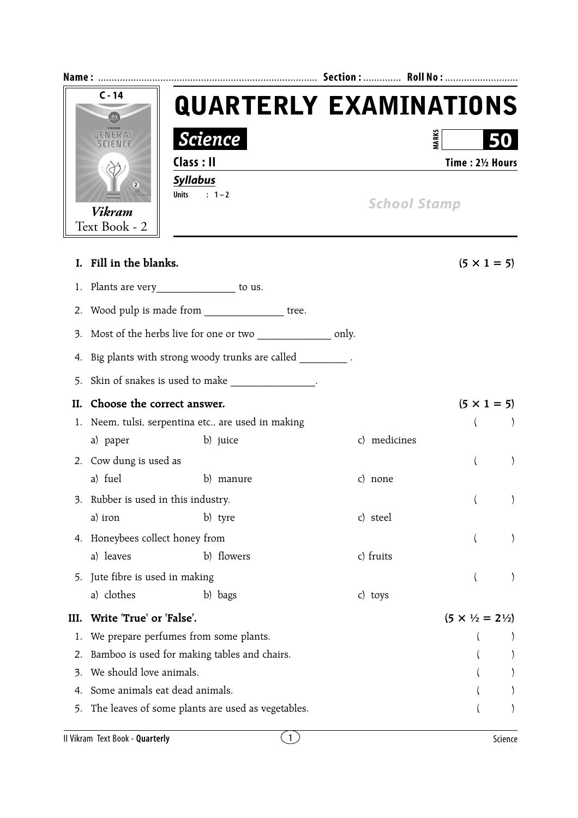|      | $C - 14$                         | <b>QUARTERLY EXAMINATIONS</b>                                |                     |                                         |           |  |  |  |
|------|----------------------------------|--------------------------------------------------------------|---------------------|-----------------------------------------|-----------|--|--|--|
|      | GENERAI<br><i><b>Science</b></i> |                                                              | <b>MARK</b>         |                                         |           |  |  |  |
|      |                                  | Class: II                                                    |                     | Time: 21/2 Hours                        |           |  |  |  |
|      | Vikram<br>Text Book - 2          | <b>Syllabus</b><br>$: 1 - 2$<br><b>Units</b>                 | <b>School Stamp</b> |                                         |           |  |  |  |
|      | I. Fill in the blanks.           |                                                              |                     | $(5 \times 1 = 5)$                      |           |  |  |  |
|      |                                  | 1. Plants are very________________ to us.                    |                     |                                         |           |  |  |  |
|      |                                  | 2. Wood pulp is made from _________________ tree.            |                     |                                         |           |  |  |  |
| 3.   |                                  | Most of the herbs live for one or two ________________ only. |                     |                                         |           |  |  |  |
|      |                                  | 4. Big plants with strong woody trunks are called _________. |                     |                                         |           |  |  |  |
| 5.   |                                  | Skin of snakes is used to make _______________.              |                     |                                         |           |  |  |  |
| II.  | Choose the correct answer.       |                                                              |                     | $(5 \times 1 = 5)$                      |           |  |  |  |
|      |                                  | 1. Neem, tulsi, serpentina etc., are used in making          |                     | $\left($                                |           |  |  |  |
|      | a) paper                         | b) juice                                                     | c) medicines        |                                         |           |  |  |  |
|      | 2. Cow dung is used as           |                                                              |                     | $\left($                                | $\lambda$ |  |  |  |
|      | a) fuel                          | b) manure                                                    | c) none             |                                         |           |  |  |  |
| s.   | Rubber is used in this industry. |                                                              |                     |                                         |           |  |  |  |
|      | a) iron                          | b) tyre                                                      | c) steel            |                                         |           |  |  |  |
|      | 4. Honeybees collect honey from  |                                                              |                     | $\langle$                               |           |  |  |  |
|      | a) leaves                        | b) flowers                                                   | c) fruits           |                                         |           |  |  |  |
| 5.   | Jute fibre is used in making     |                                                              |                     |                                         |           |  |  |  |
|      | a) clothes                       | b) bags                                                      | c) toys             |                                         |           |  |  |  |
| III. | Write 'True' or 'False'.         |                                                              |                     | $(5 \times \frac{1}{2} = 2\frac{1}{2})$ |           |  |  |  |
| 1.   |                                  | We prepare perfumes from some plants.                        |                     |                                         |           |  |  |  |
| 2.   |                                  | Bamboo is used for making tables and chairs.                 |                     |                                         |           |  |  |  |
| 3.   | We should love animals.          |                                                              |                     |                                         |           |  |  |  |
| 4.   | Some animals eat dead animals.   |                                                              |                     |                                         |           |  |  |  |
| 5.   |                                  | The leaves of some plants are used as vegetables.            |                     |                                         |           |  |  |  |